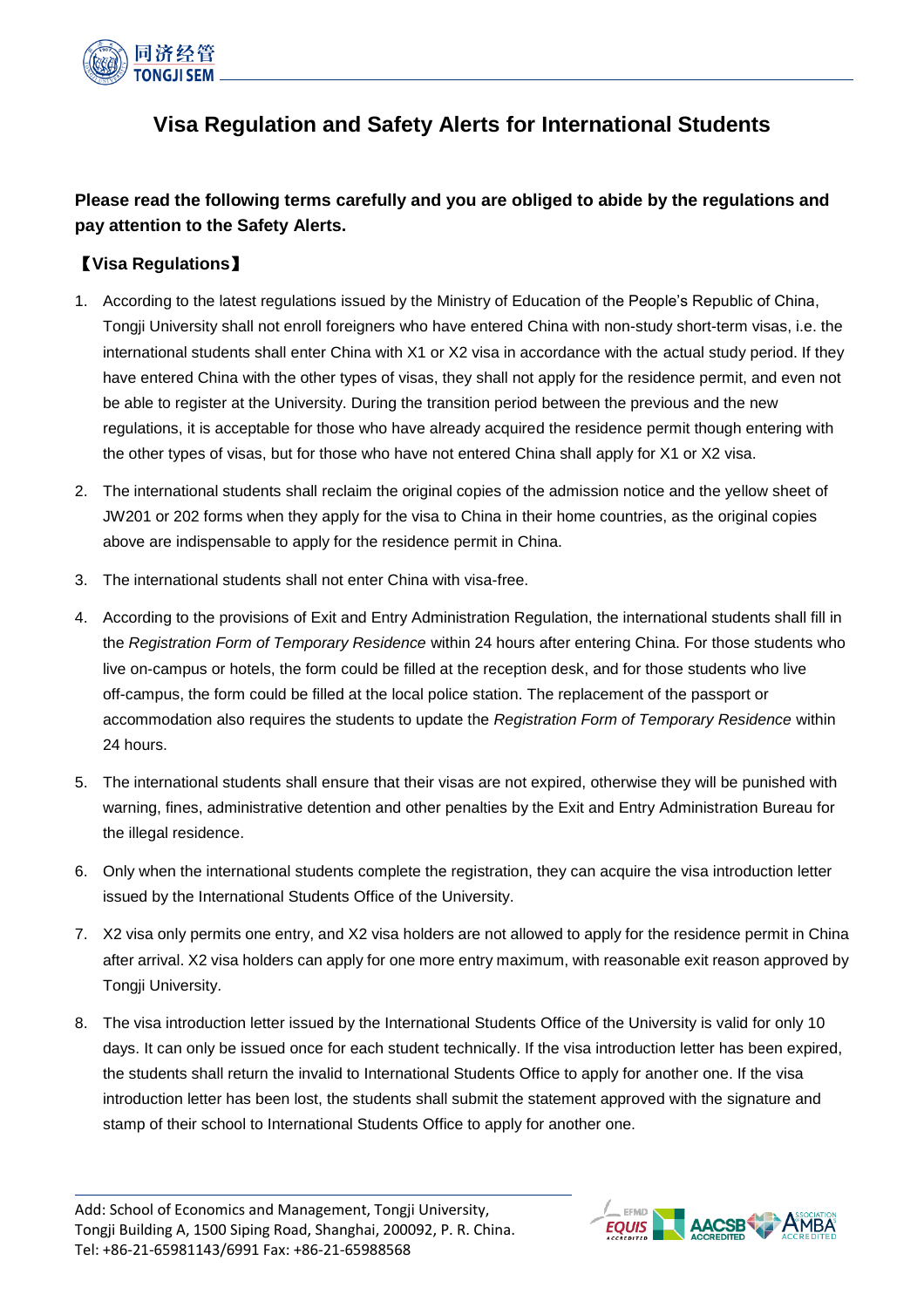

# **Visa Regulation and Safety Alerts for International Students**

**Please read the following terms carefully and you are obliged to abide by the regulations and pay attention to the Safety Alerts.**

### 【**Visa Regulations**】

- 1. According to the latest regulations issued by the Ministry of Education of the People's Republic of China, Tongji University shall not enroll foreigners who have entered China with non-study short-term visas, i.e. the international students shall enter China with X1 or X2 visa in accordance with the actual study period. If they have entered China with the other types of visas, they shall not apply for the residence permit, and even not be able to register at the University. During the transition period between the previous and the new regulations, it is acceptable for those who have already acquired the residence permit though entering with the other types of visas, but for those who have not entered China shall apply for X1 or X2 visa.
- 2. The international students shall reclaim the original copies of the admission notice and the yellow sheet of JW201 or 202 forms when they apply for the visa to China in their home countries, as the original copies above are indispensable to apply for the residence permit in China.
- 3. The international students shall not enter China with visa-free.
- 4. According to the provisions of Exit and Entry Administration Regulation, the international students shall fill in the *Registration Form of Temporary Residence* within 24 hours after entering China. For those students who live on-campus or hotels, the form could be filled at the reception desk, and for those students who live off-campus, the form could be filled at the local police station. The replacement of the passport or accommodation also requires the students to update the *Registration Form of Temporary Residence* within 24 hours.
- 5. The international students shall ensure that their visas are not expired, otherwise they will be punished with warning, fines, administrative detention and other penalties by the Exit and Entry Administration Bureau for the illegal residence.
- 6. Only when the international students complete the registration, they can acquire the visa introduction letter issued by the International Students Office of the University.
- 7. X2 visa only permits one entry, and X2 visa holders are not allowed to apply for the residence permit in China after arrival. X2 visa holders can apply for one more entry maximum, with reasonable exit reason approved by Tongji University.
- 8. The visa introduction letter issued by the International Students Office of the University is valid for only 10 days. It can only be issued once for each student technically. If the visa introduction letter has been expired, the students shall return the invalid to International Students Office to apply for another one. If the visa introduction letter has been lost, the students shall submit the statement approved with the signature and stamp of their school to International Students Office to apply for another one.

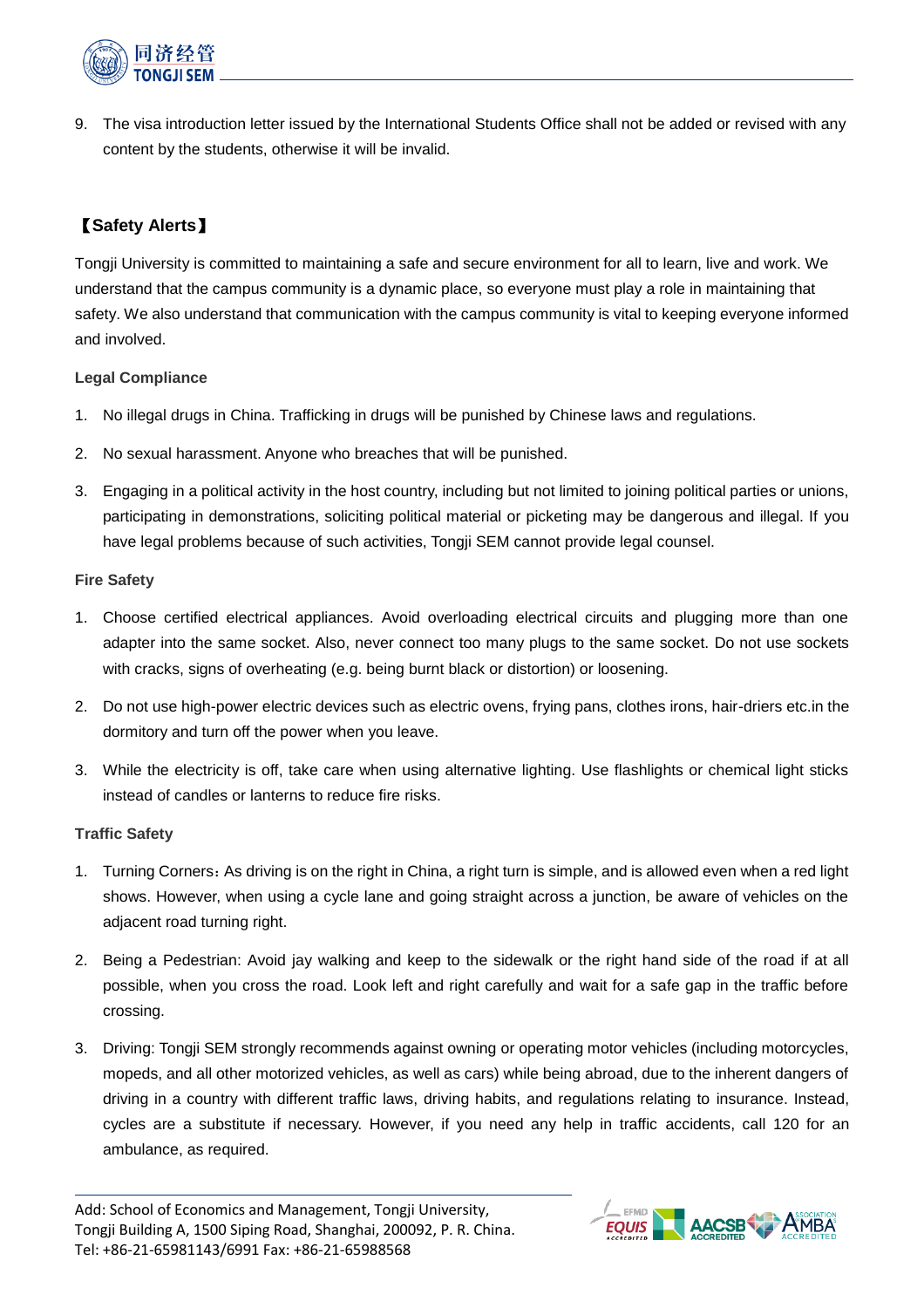

9. The visa introduction letter issued by the International Students Office shall not be added or revised with any content by the students, otherwise it will be invalid.

## 【**Safety Alerts**】

Tongji University is committed to maintaining a safe and secure environment for all to learn, live and work. We understand that the campus community is a dynamic place, so everyone must play a role in maintaining that safety. We also understand that communication with the campus community is vital to keeping everyone informed and involved.

#### **Legal Compliance**

- 1. No illegal drugs in China. Trafficking in drugs will be punished by Chinese laws and regulations.
- 2. No sexual harassment. Anyone who breaches that will be punished.
- 3. Engaging in a political activity in the host country, including but not limited to joining political parties or unions, participating in demonstrations, soliciting political material or picketing may be dangerous and illegal. If you have legal problems because of such activities, Tongji SEM cannot provide legal counsel.

#### **Fire Safety**

- 1. Choose certified electrical appliances. Avoid overloading electrical circuits and plugging more than one adapter into the same socket. Also, never connect too many plugs to the same socket. Do not use sockets with cracks, signs of overheating (e.g. being burnt black or distortion) or loosening.
- 2. Do not use high-power electric devices such as electric ovens, frying pans, clothes irons, hair-driers etc.in the dormitory and turn off the power when you leave.
- 3. While the electricity is off, take care when using alternative lighting. Use flashlights or chemical light sticks instead of candles or lanterns to reduce fire risks.

#### **Traffic Safety**

- 1. Turning Corners:As driving is on the right in China, a right turn is simple, and is allowed even when a red light shows. However, when using a cycle lane and going straight across a junction, be aware of vehicles on the adjacent road turning right.
- 2. Being a Pedestrian: Avoid jay walking and keep to the sidewalk or the right hand side of the road if at all possible, when you cross the road. Look left and right carefully and wait for a safe gap in the traffic before crossing.
- 3. Driving: Tongji SEM strongly recommends against owning or operating motor vehicles (including motorcycles, mopeds, and all other motorized vehicles, as well as cars) while being abroad, due to the inherent dangers of driving in a country with different traffic laws, driving habits, and regulations relating to insurance. Instead, cycles are a substitute if necessary. However, if you need any help in traffic accidents, call 120 for an ambulance, as required.